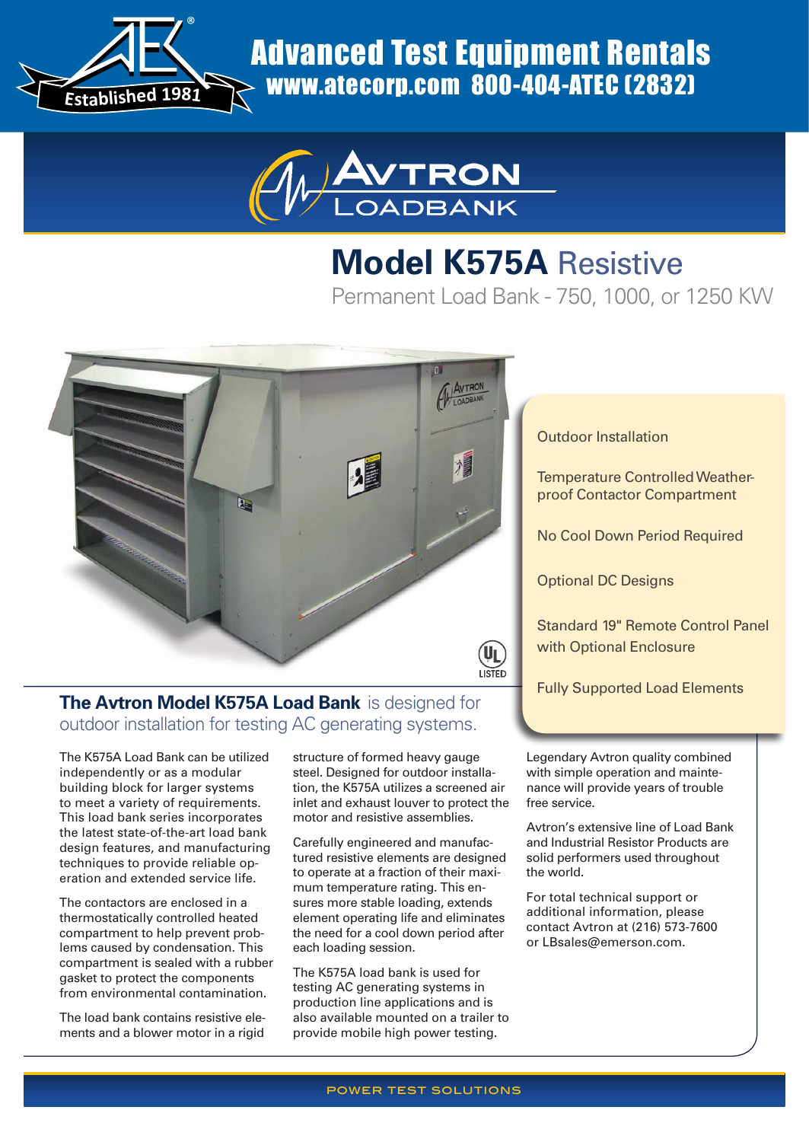

Advanced Test Equipment Rentals www.atecorp.com 800-404-ATEC (2832)



## **Model K575A** Resistive

Permanent Load Bank - 750, 1000, or 1250 KW



#### Outdoor Installation

Temperature Controlled Weatherproof Contactor Compartment

No Cool Down Period Required

Optional DC Designs

Standard 19" Remote Control Panel with Optional Enclosure

Fully Supported Load Elements

### **The Avtron Model K575A Load Bank** is designed for outdoor installation for testing AC generating systems.

The K575A Load Bank can be utilized independently or as a modular building block for larger systems to meet a variety of requirements. This load bank series incorporates the latest state-of-the-art load bank design features, and manufacturing techniques to provide reliable operation and extended service life.

The contactors are enclosed in a thermostatically controlled heated compartment to help prevent problems caused by condensation. This compartment is sealed with a rubber gasket to protect the components from environmental contamination.

The load bank contains resistive elements and a blower motor in a rigid structure of formed heavy gauge steel. Designed for outdoor installation, the K575A utilizes a screened air inlet and exhaust louver to protect the motor and resistive assemblies.

Carefully engineered and manufactured resistive elements are designed to operate at a fraction of their maximum temperature rating. This ensures more stable loading, extends element operating life and eliminates the need for a cool down period after each loading session.

The K575A load bank is used for testing AC generating systems in production line applications and is also available mounted on a trailer to provide mobile high power testing.

Legendary Avtron quality combined with simple operation and maintenance will provide years of trouble free service.

Avtron's extensive line of Load Bank and Industrial Resistor Products are solid performers used throughout the world.

For total technical support or additional information, please contact Avtron at (216) 573-7600 or LBsales@emerson.com.